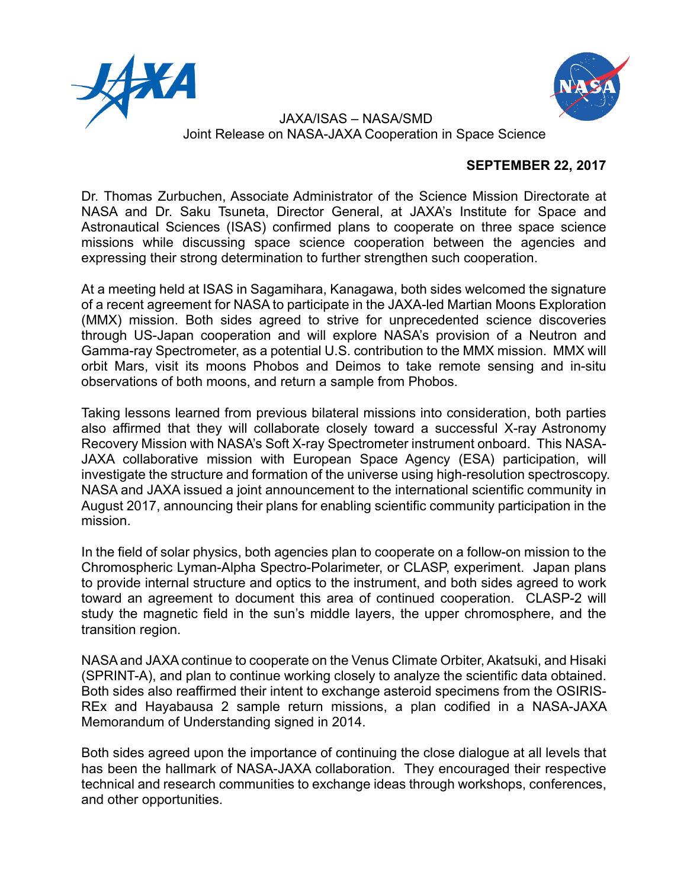



 JAXA/ISAS – NASA/SMD Joint Release on NASA-JAXA Cooperation in Space Science

## **SEPTEMBER 22, 2017**

Dr. Thomas Zurbuchen, Associate Administrator of the Science Mission Directorate at NASA and Dr. Saku Tsuneta, Director General, at JAXA's Institute for Space and Astronautical Sciences (ISAS) confirmed plans to cooperate on three space science missions while discussing space science cooperation between the agencies and expressing their strong determination to further strengthen such cooperation.

At a meeting held at ISAS in Sagamihara, Kanagawa, both sides welcomed the signature of a recent agreement for NASA to participate in the JAXA-led Martian Moons Exploration (MMX) mission. Both sides agreed to strive for unprecedented science discoveries through US-Japan cooperation and will explore NASA's provision of a Neutron and Gamma-ray Spectrometer, as a potential U.S. contribution to the MMX mission. MMX will orbit Mars, visit its moons Phobos and Deimos to take remote sensing and in-situ observations of both moons, and return a sample from Phobos.

Taking lessons learned from previous bilateral missions into consideration, both parties also affirmed that they will collaborate closely toward a successful X-ray Astronomy Recovery Mission with NASA's Soft X-ray Spectrometer instrument onboard. This NASA-JAXA collaborative mission with European Space Agency (ESA) participation, will investigate the structure and formation of the universe using high-resolution spectroscopy. NASA and JAXA issued a joint announcement to the international scientific community in August 2017, announcing their plans for enabling scientific community participation in the mission.

In the field of solar physics, both agencies plan to cooperate on a follow-on mission to the Chromospheric Lyman-Alpha Spectro-Polarimeter, or CLASP, experiment. Japan plans to provide internal structure and optics to the instrument, and both sides agreed to work toward an agreement to document this area of continued cooperation. CLASP-2 will study the magnetic field in the sun's middle layers, the upper chromosphere, and the transition region.

NASA and JAXA continue to cooperate on the Venus Climate Orbiter, Akatsuki, and Hisaki (SPRINT-A), and plan to continue working closely to analyze the scientific data obtained. Both sides also reaffirmed their intent to exchange asteroid specimens from the OSIRIS-REx and Hayabausa 2 sample return missions, a plan codified in a NASA-JAXA Memorandum of Understanding signed in 2014.

Both sides agreed upon the importance of continuing the close dialogue at all levels that has been the hallmark of NASA-JAXA collaboration. They encouraged their respective technical and research communities to exchange ideas through workshops, conferences, and other opportunities.